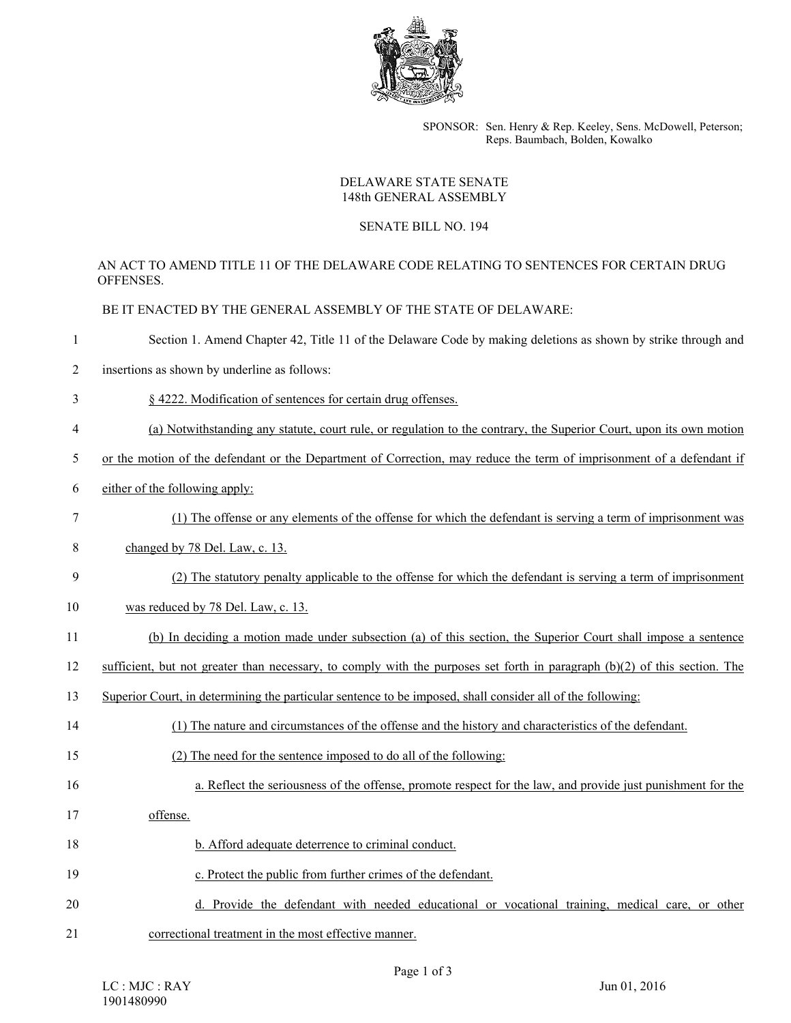

SPONSOR: Sen. Henry & Rep. Keeley, Sens. McDowell, Peterson; Reps. Baumbach, Bolden, Kowalko

## DELAWARE STATE SENATE 148th GENERAL ASSEMBLY

## SENATE BILL NO. 194

## AN ACT TO AMEND TITLE 11 OF THE DELAWARE CODE RELATING TO SENTENCES FOR CERTAIN DRUG **OFFENSES**

BE IT ENACTED BY THE GENERAL ASSEMBLY OF THE STATE OF DELAWARE:

- 1 Section 1. Amend Chapter 42, Title 11 of the Delaware Code by making deletions as shown by strike through and
- 2 insertions as shown by underline as follows:
- 3 § 4222. Modification of sentences for certain drug offenses.
- 4 (a) Notwithstanding any statute, court rule, or regulation to the contrary, the Superior Court, upon its own motion
- 5 or the motion of the defendant or the Department of Correction, may reduce the term of imprisonment of a defendant if
- 6 either of the following apply:
- 7 (1) The offense or any elements of the offense for which the defendant is serving a term of imprisonment was
- 8 changed by 78 Del. Law, c. 13.
- 9 (2) The statutory penalty applicable to the offense for which the defendant is serving a term of imprisonment
- 10 was reduced by 78 Del. Law, c. 13.
- 11 (b) In deciding a motion made under subsection (a) of this section, the Superior Court shall impose a sentence
- 12 sufficient, but not greater than necessary, to comply with the purposes set forth in paragraph (b)(2) of this section. The
- 13 Superior Court, in determining the particular sentence to be imposed, shall consider all of the following:
- 14 (1) The nature and circumstances of the offense and the history and characteristics of the defendant.
- 15 (2) The need for the sentence imposed to do all of the following:
- 16 a. Reflect the seriousness of the offense, promote respect for the law, and provide just punishment for the
- 17 offense.
- 18 b. Afford adequate deterrence to criminal conduct.
- 19 c. Protect the public from further crimes of the defendant.
- 20 d. Provide the defendant with needed educational or vocational training, medical care, or other 21 correctional treatment in the most effective manner.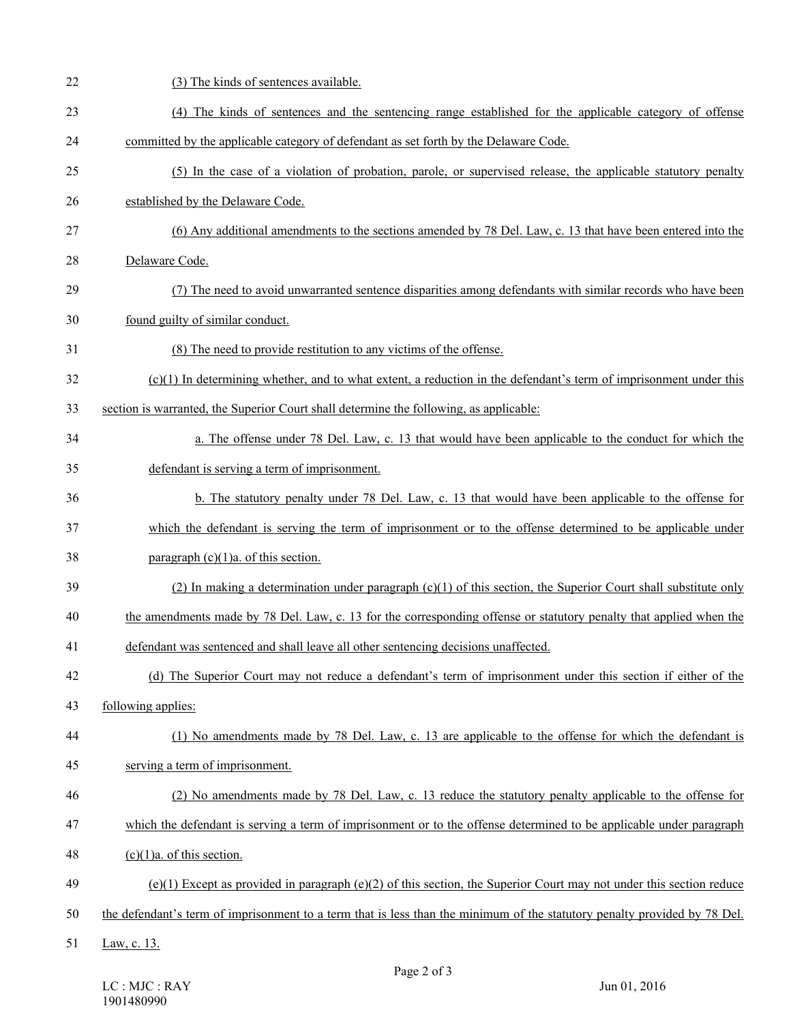| 22 | (3) The kinds of sentences available.                                                                                     |
|----|---------------------------------------------------------------------------------------------------------------------------|
| 23 | (4) The kinds of sentences and the sentencing range established for the applicable category of offense                    |
| 24 | committed by the applicable category of defendant as set forth by the Delaware Code.                                      |
| 25 | (5) In the case of a violation of probation, parole, or supervised release, the applicable statutory penalty              |
| 26 | established by the Delaware Code.                                                                                         |
| 27 | (6) Any additional amendments to the sections amended by 78 Del. Law, c. 13 that have been entered into the               |
| 28 | Delaware Code.                                                                                                            |
| 29 | (7) The need to avoid unwarranted sentence disparities among defendants with similar records who have been                |
| 30 | found guilty of similar conduct.                                                                                          |
| 31 | (8) The need to provide restitution to any victims of the offense.                                                        |
| 32 | $(c)(1)$ In determining whether, and to what extent, a reduction in the defendant's term of imprisonment under this       |
| 33 | section is warranted, the Superior Court shall determine the following, as applicable:                                    |
| 34 | a. The offense under 78 Del. Law, c. 13 that would have been applicable to the conduct for which the                      |
| 35 | defendant is serving a term of imprisonment.                                                                              |
| 36 | b. The statutory penalty under 78 Del. Law, c. 13 that would have been applicable to the offense for                      |
| 37 | which the defendant is serving the term of imprisonment or to the offense determined to be applicable under               |
| 38 | paragraph $(c)(1)a$ . of this section.                                                                                    |
| 39 | (2) In making a determination under paragraph (c)(1) of this section, the Superior Court shall substitute only            |
| 40 | the amendments made by 78 Del. Law, c. 13 for the corresponding offense or statutory penalty that applied when the        |
| 41 | defendant was sentenced and shall leave all other sentencing decisions unaffected.                                        |
| 42 | (d) The Superior Court may not reduce a defendant's term of imprisonment under this section if either of the              |
| 43 | following applies:                                                                                                        |
| 44 | (1) No amendments made by 78 Del. Law, c. 13 are applicable to the offense for which the defendant is                     |
| 45 | serving a term of imprisonment.                                                                                           |
| 46 | (2) No amendments made by 78 Del. Law, c. 13 reduce the statutory penalty applicable to the offense for                   |
| 47 | which the defendant is serving a term of imprisonment or to the offense determined to be applicable under paragraph       |
| 48 | $(c)(1)a$ . of this section.                                                                                              |
| 49 | $(e)(1)$ Except as provided in paragraph $(e)(2)$ of this section, the Superior Court may not under this section reduce   |
| 50 | the defendant's term of imprisonment to a term that is less than the minimum of the statutory penalty provided by 78 Del. |
| 51 | Law, c. 13.                                                                                                               |
|    |                                                                                                                           |